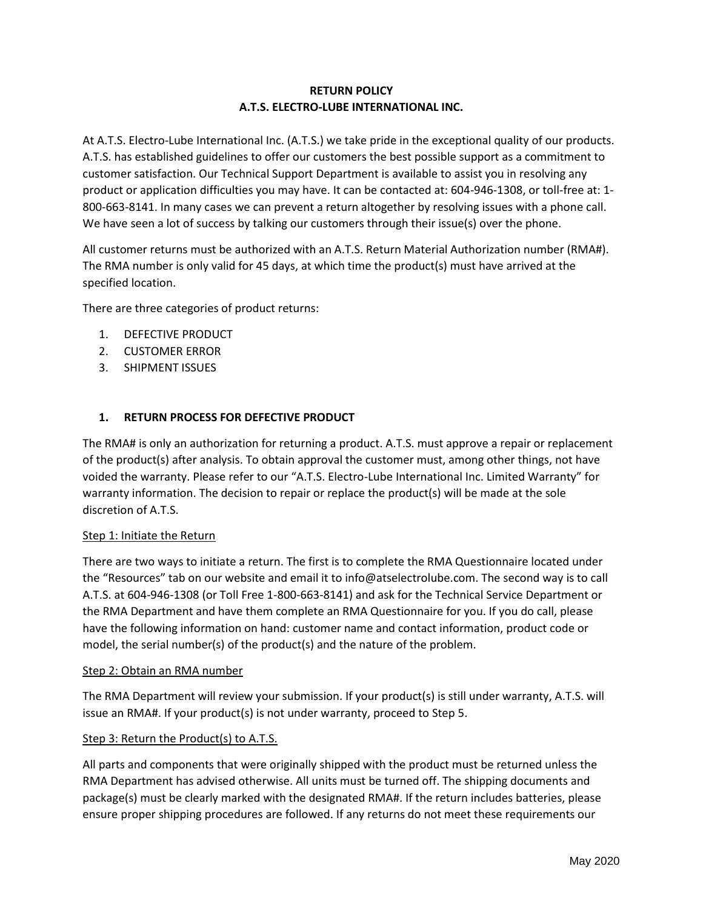## **RETURN POLICY A.T.S. ELECTRO-LUBE INTERNATIONAL INC.**

At A.T.S. Electro-Lube International Inc. (A.T.S.) we take pride in the exceptional quality of our products. A.T.S. has established guidelines to offer our customers the best possible support as a commitment to customer satisfaction. Our Technical Support Department is available to assist you in resolving any product or application difficulties you may have. It can be contacted at: 604-946-1308, or toll-free at: 1- 800-663-8141. In many cases we can prevent a return altogether by resolving issues with a phone call. We have seen a lot of success by talking our customers through their issue(s) over the phone.

All customer returns must be authorized with an A.T.S. Return Material Authorization number (RMA#). The RMA number is only valid for 45 days, at which time the product(s) must have arrived at the specified location.

There are three categories of product returns:

- 1. DEFECTIVE PRODUCT
- 2. CUSTOMER ERROR
- 3. SHIPMENT ISSUES

### **1. RETURN PROCESS FOR DEFECTIVE PRODUCT**

The RMA# is only an authorization for returning a product. A.T.S. must approve a repair or replacement of the product(s) after analysis. To obtain approval the customer must, among other things, not have voided the warranty. Please refer to our "A.T.S. Electro-Lube International Inc. Limited Warranty" for warranty information. The decision to repair or replace the product(s) will be made at the sole discretion of A.T.S.

#### Step 1: Initiate the Return

There are two ways to initiate a return. The first is to complete the RMA Questionnaire located under the "Resources" tab on our website and email it to info@atselectrolube.com. The second way is to call A.T.S. at 604-946-1308 (or Toll Free 1-800-663-8141) and ask for the Technical Service Department or the RMA Department and have them complete an RMA Questionnaire for you. If you do call, please have the following information on hand: customer name and contact information, product code or model, the serial number(s) of the product(s) and the nature of the problem.

#### Step 2: Obtain an RMA number

The RMA Department will review your submission. If your product(s) is still under warranty, A.T.S. will issue an RMA#. If your product(s) is not under warranty, proceed to Step 5.

#### Step 3: Return the Product(s) to A.T.S.

All parts and components that were originally shipped with the product must be returned unless the RMA Department has advised otherwise. All units must be turned off. The shipping documents and package(s) must be clearly marked with the designated RMA#. If the return includes batteries, please ensure proper shipping procedures are followed. If any returns do not meet these requirements our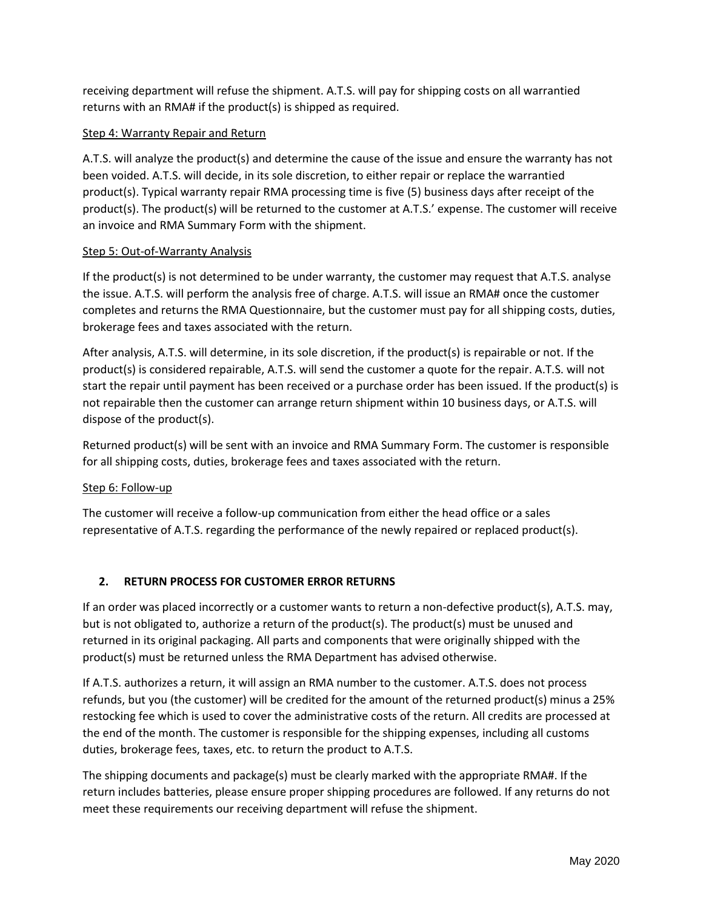receiving department will refuse the shipment. A.T.S. will pay for shipping costs on all warrantied returns with an RMA# if the product(s) is shipped as required.

## Step 4: Warranty Repair and Return

A.T.S. will analyze the product(s) and determine the cause of the issue and ensure the warranty has not been voided. A.T.S. will decide, in its sole discretion, to either repair or replace the warrantied product(s). Typical warranty repair RMA processing time is five (5) business days after receipt of the product(s). The product(s) will be returned to the customer at A.T.S.' expense. The customer will receive an invoice and RMA Summary Form with the shipment.

### Step 5: Out-of-Warranty Analysis

If the product(s) is not determined to be under warranty, the customer may request that A.T.S. analyse the issue. A.T.S. will perform the analysis free of charge. A.T.S. will issue an RMA# once the customer completes and returns the RMA Questionnaire, but the customer must pay for all shipping costs, duties, brokerage fees and taxes associated with the return.

After analysis, A.T.S. will determine, in its sole discretion, if the product(s) is repairable or not. If the product(s) is considered repairable, A.T.S. will send the customer a quote for the repair. A.T.S. will not start the repair until payment has been received or a purchase order has been issued. If the product(s) is not repairable then the customer can arrange return shipment within 10 business days, or A.T.S. will dispose of the product(s).

Returned product(s) will be sent with an invoice and RMA Summary Form. The customer is responsible for all shipping costs, duties, brokerage fees and taxes associated with the return.

### Step 6: Follow-up

The customer will receive a follow-up communication from either the head office or a sales representative of A.T.S. regarding the performance of the newly repaired or replaced product(s).

## **2. RETURN PROCESS FOR CUSTOMER ERROR RETURNS**

If an order was placed incorrectly or a customer wants to return a non-defective product(s), A.T.S. may, but is not obligated to, authorize a return of the product(s). The product(s) must be unused and returned in its original packaging. All parts and components that were originally shipped with the product(s) must be returned unless the RMA Department has advised otherwise.

If A.T.S. authorizes a return, it will assign an RMA number to the customer. A.T.S. does not process refunds, but you (the customer) will be credited for the amount of the returned product(s) minus a 25% restocking fee which is used to cover the administrative costs of the return. All credits are processed at the end of the month. The customer is responsible for the shipping expenses, including all customs duties, brokerage fees, taxes, etc. to return the product to A.T.S.

The shipping documents and package(s) must be clearly marked with the appropriate RMA#. If the return includes batteries, please ensure proper shipping procedures are followed. If any returns do not meet these requirements our receiving department will refuse the shipment.